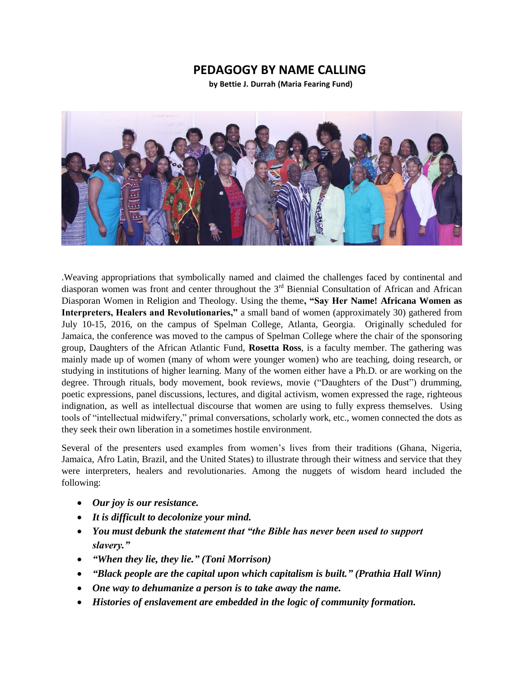## **PEDAGOGY BY NAME CALLING**

**by Bettie J. Durrah (Maria Fearing Fund)**



.Weaving appropriations that symbolically named and claimed the challenges faced by continental and diasporan women was front and center throughout the 3<sup>rd</sup> Biennial Consultation of African and African Diasporan Women in Religion and Theology. Using the theme**, "Say Her Name! Africana Women as Interpreters, Healers and Revolutionaries,"** a small band of women (approximately 30) gathered from July 10-15, 2016, on the campus of Spelman College, Atlanta, Georgia. Originally scheduled for Jamaica, the conference was moved to the campus of Spelman College where the chair of the sponsoring group, Daughters of the African Atlantic Fund, **Rosetta Ross**, is a faculty member. The gathering was mainly made up of women (many of whom were younger women) who are teaching, doing research, or studying in institutions of higher learning. Many of the women either have a Ph.D. or are working on the degree. Through rituals, body movement, book reviews, movie ("Daughters of the Dust") drumming, poetic expressions, panel discussions, lectures, and digital activism, women expressed the rage, righteous indignation, as well as intellectual discourse that women are using to fully express themselves. Using tools of "intellectual midwifery," primal conversations, scholarly work, etc., women connected the dots as they seek their own liberation in a sometimes hostile environment.

Several of the presenters used examples from women's lives from their traditions (Ghana, Nigeria, Jamaica, Afro Latin, Brazil, and the United States) to illustrate through their witness and service that they were interpreters, healers and revolutionaries. Among the nuggets of wisdom heard included the following:

- *Our joy is our resistance.*
- *It is difficult to decolonize your mind.*
- *You must debunk the statement that "the Bible has never been used to support slavery."*
- *"When they lie, they lie." (Toni Morrison)*
- *"Black people are the capital upon which capitalism is built." (Prathia Hall Winn)*
- *One way to dehumanize a person is to take away the name.*
- *Histories of enslavement are embedded in the logic of community formation.*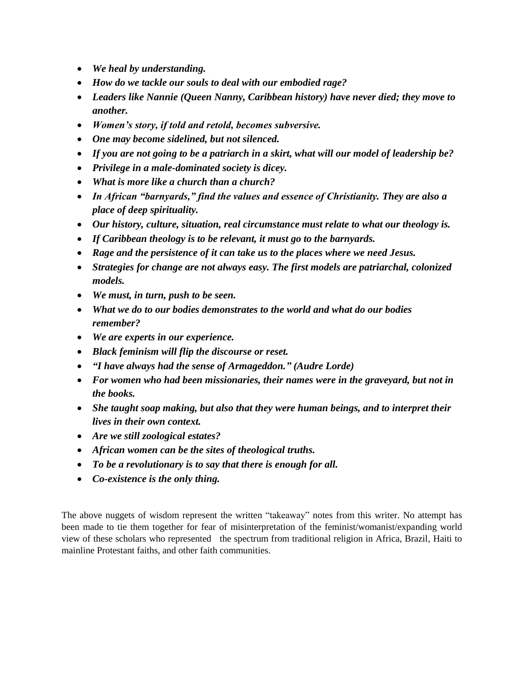- *We heal by understanding.*
- *How do we tackle our souls to deal with our embodied rage?*
- *Leaders like Nannie (Queen Nanny, Caribbean history) have never died; they move to another.*
- *Women's story, if told and retold, becomes subversive.*
- *One may become sidelined, but not silenced.*
- *If you are not going to be a patriarch in a skirt, what will our model of leadership be?*
- *Privilege in a male-dominated society is dicey.*
- *What is more like a church than a church?*
- *In African "barnyards," find the values and essence of Christianity. They are also a place of deep spirituality.*
- *Our history, culture, situation, real circumstance must relate to what our theology is.*
- *If Caribbean theology is to be relevant, it must go to the barnyards.*
- *Rage and the persistence of it can take us to the places where we need Jesus.*
- *Strategies for change are not always easy. The first models are patriarchal, colonized models.*
- *We must, in turn, push to be seen.*
- *What we do to our bodies demonstrates to the world and what do our bodies remember?*
- *We are experts in our experience.*
- *Black feminism will flip the discourse or reset.*
- *"I have always had the sense of Armageddon." (Audre Lorde)*
- *For women who had been missionaries, their names were in the graveyard, but not in the books.*
- *She taught soap making, but also that they were human beings, and to interpret their lives in their own context.*
- *Are we still zoological estates?*
- *African women can be the sites of theological truths.*
- *To be a revolutionary is to say that there is enough for all.*
- *Co-existence is the only thing.*

The above nuggets of wisdom represent the written "takeaway" notes from this writer. No attempt has been made to tie them together for fear of misinterpretation of the feminist/womanist/expanding world view of these scholars who represented the spectrum from traditional religion in Africa, Brazil, Haiti to mainline Protestant faiths, and other faith communities.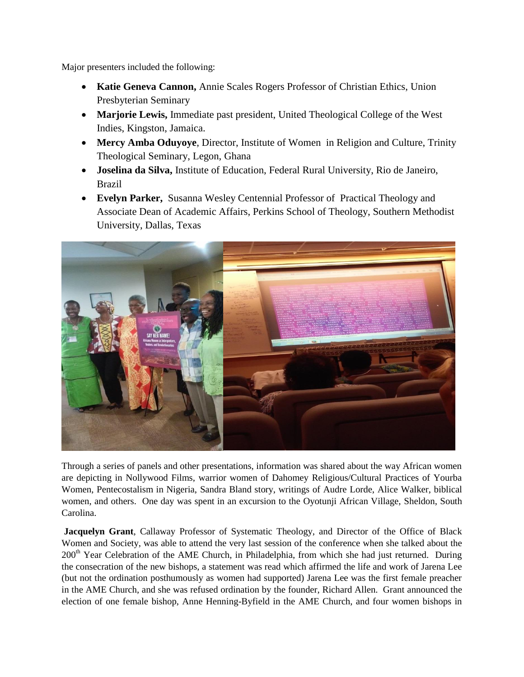Major presenters included the following:

- **Katie Geneva Cannon,** Annie Scales Rogers Professor of Christian Ethics, Union Presbyterian Seminary
- **Marjorie Lewis,** Immediate past president, United Theological College of the West Indies, Kingston, Jamaica.
- **Mercy Amba Oduyoye**, Director, Institute of Women in Religion and Culture, Trinity Theological Seminary, Legon, Ghana
- **Joselina da Silva,** Institute of Education, Federal Rural University, Rio de Janeiro, Brazil
- **Evelyn Parker,** Susanna Wesley Centennial Professor of Practical Theology and Associate Dean of Academic Affairs, Perkins School of Theology, Southern Methodist University, Dallas, Texas



Through a series of panels and other presentations, information was shared about the way African women are depicting in Nollywood Films, warrior women of Dahomey Religious/Cultural Practices of Yourba Women, Pentecostalism in Nigeria, Sandra Bland story, writings of Audre Lorde, Alice Walker, biblical women, and others. One day was spent in an excursion to the Oyotunji African Village, Sheldon, South Carolina.

**Jacquelyn Grant**, Callaway Professor of Systematic Theology, and Director of the Office of Black Women and Society, was able to attend the very last session of the conference when she talked about the 200<sup>th</sup> Year Celebration of the AME Church, in Philadelphia, from which she had just returned. During the consecration of the new bishops, a statement was read which affirmed the life and work of Jarena Lee (but not the ordination posthumously as women had supported) Jarena Lee was the first female preacher in the AME Church, and she was refused ordination by the founder, Richard Allen. Grant announced the election of one female bishop, Anne Henning-Byfield in the AME Church, and four women bishops in